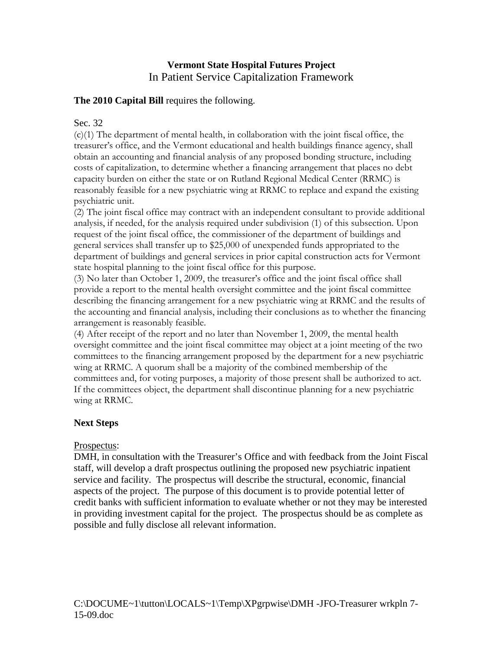# **Vermont State Hospital Futures Project** In Patient Service Capitalization Framework

### **The 2010 Capital Bill** requires the following.

### Sec. 32

 $(c)(1)$  The department of mental health, in collaboration with the joint fiscal office, the treasurer's office, and the Vermont educational and health buildings finance agency, shall obtain an accounting and financial analysis of any proposed bonding structure, including costs of capitalization, to determine whether a financing arrangement that places no debt capacity burden on either the state or on Rutland Regional Medical Center (RRMC) is reasonably feasible for a new psychiatric wing at RRMC to replace and expand the existing psychiatric unit.

(2) The joint fiscal office may contract with an independent consultant to provide additional analysis, if needed, for the analysis required under subdivision (1) of this subsection. Upon request of the joint fiscal office, the commissioner of the department of buildings and general services shall transfer up to \$25,000 of unexpended funds appropriated to the department of buildings and general services in prior capital construction acts for Vermont state hospital planning to the joint fiscal office for this purpose.

(3) No later than October 1, 2009, the treasurer's office and the joint fiscal office shall provide a report to the mental health oversight committee and the joint fiscal committee describing the financing arrangement for a new psychiatric wing at RRMC and the results of the accounting and financial analysis, including their conclusions as to whether the financing arrangement is reasonably feasible.

(4) After receipt of the report and no later than November 1, 2009, the mental health oversight committee and the joint fiscal committee may object at a joint meeting of the two committees to the financing arrangement proposed by the department for a new psychiatric wing at RRMC. A quorum shall be a majority of the combined membership of the committees and, for voting purposes, a majority of those present shall be authorized to act. If the committees object, the department shall discontinue planning for a new psychiatric wing at RRMC.

# **Next Steps**

# Prospectus:

DMH, in consultation with the Treasurer's Office and with feedback from the Joint Fiscal staff, will develop a draft prospectus outlining the proposed new psychiatric inpatient service and facility. The prospectus will describe the structural, economic, financial aspects of the project. The purpose of this document is to provide potential letter of credit banks with sufficient information to evaluate whether or not they may be interested in providing investment capital for the project. The prospectus should be as complete as possible and fully disclose all relevant information.